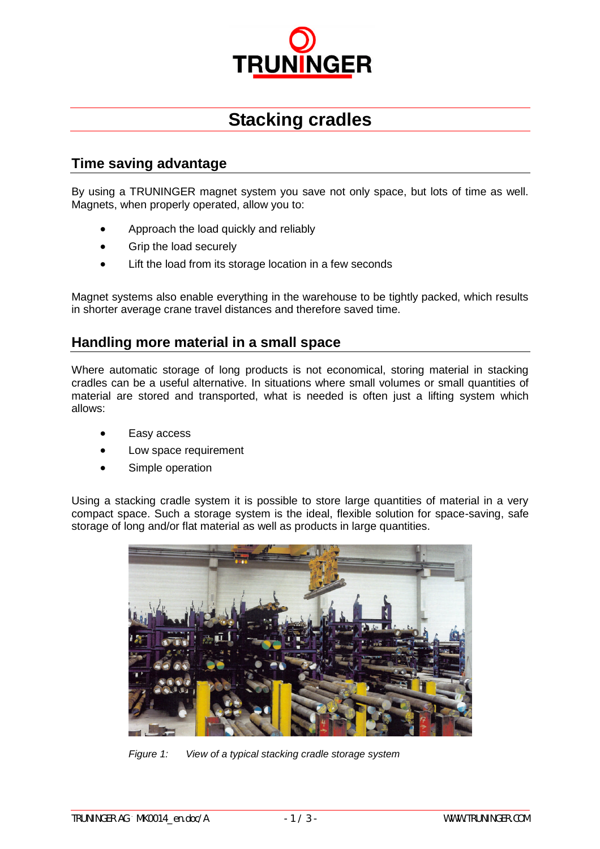

# **Stacking cradles**

## **Time saving advantage**

By using a TRUNINGER magnet system you save not only space, but lots of time as well. Magnets, when properly operated, allow you to:

- Approach the load quickly and reliably
- Grip the load securely
- Lift the load from its storage location in a few seconds

Magnet systems also enable everything in the warehouse to be tightly packed, which results in shorter average crane travel distances and therefore saved time.

#### **Handling more material in a small space**

Where automatic storage of long products is not economical, storing material in stacking cradles can be a useful alternative. In situations where small volumes or small quantities of material are stored and transported, what is needed is often just a lifting system which allows:

- Easy access
- Low space requirement
- Simple operation

Using a stacking cradle system it is possible to store large quantities of material in a very compact space. Such a storage system is the ideal, flexible solution for space-saving, safe storage of long and/or flat material as well as products in large quantities.



*Figure 1: View of a typical stacking cradle storage system*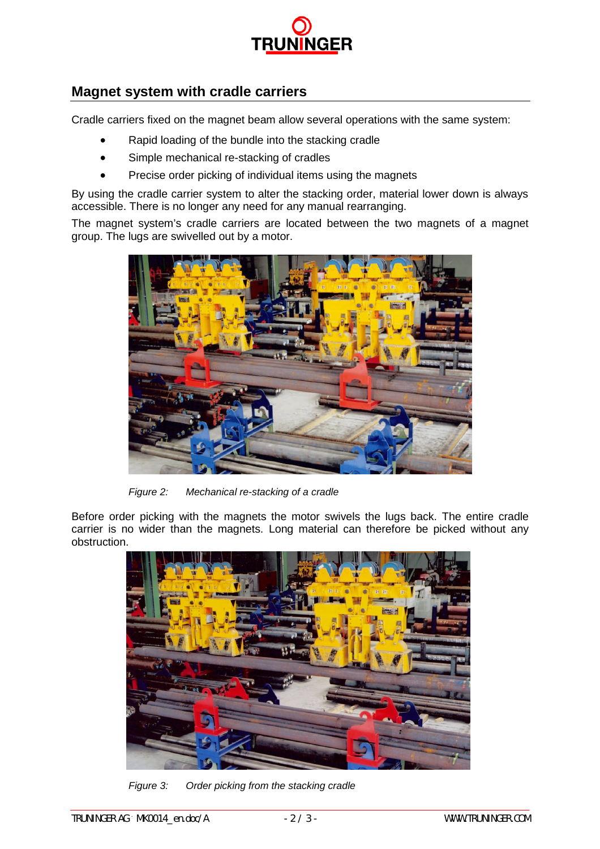

## **Magnet system with cradle carriers**

Cradle carriers fixed on the magnet beam allow several operations with the same system:

- Rapid loading of the bundle into the stacking cradle
- Simple mechanical re-stacking of cradles
- Precise order picking of individual items using the magnets

By using the cradle carrier system to alter the stacking order, material lower down is always accessible. There is no longer any need for any manual rearranging.

The magnet system's cradle carriers are located between the two magnets of a magnet group. The lugs are swivelled out by a motor.



*Figure 2: Mechanical re-stacking of a cradle*

Before order picking with the magnets the motor swivels the lugs back. The entire cradle carrier is no wider than the magnets. Long material can therefore be picked without any obstruction.



*Figure 3: Order picking from the stacking cradle*